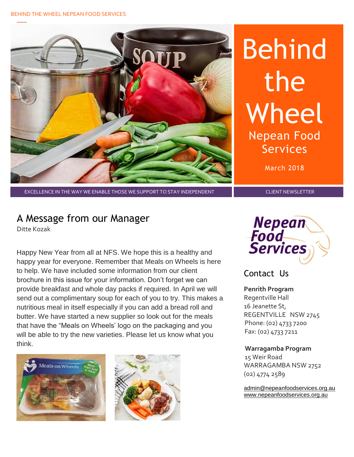#### BEHIND THE WHEEL NEPEAN FOOD SERVICES



# Behind the Wheel Nepean Food Services

March 2018

EXCELLENCE IN THE WAY WE ENABLE THOSE WE SUPPORT TO STAY INDEPENDENT CLIENT AND CLIENT NEWSLETTER

### A Message from our Manager

Ditte Kozak

Happy New Year from all at NFS. We hope this is a healthy and happy year for everyone. Remember that Meals on Wheels is here to help. We have included some information from our client brochure in this issue for your information. Don't forget we can provide breakfast and whole day packs if required. In April we will send out a complimentary soup for each of you to try. This makes a nutritious meal in itself especially if you can add a bread roll and butter. We have started a new supplier so look out for the meals that have the "Meals on Wheels' logo on the packaging and you will be able to try the new varieties. Please let us know what you think.







#### Contact Us

**Penrith Program**  Regentville Hall 16 Jeanette St, REGENTVILLE NSW 2745 Phone: (02) 4733 7200 Fax: (02) 4733 7211

#### **Warragamba Program**

 15 Weir Road WARRAGAMBA NSW 2752 (02) 4774 2589

[admin@nepeanfoodservices.org.au](mailto:admin@nepeanfoodservices.org.au) [www.nepeanfoodservices.org.au](http://www.nepeanfoodservices.org.au/)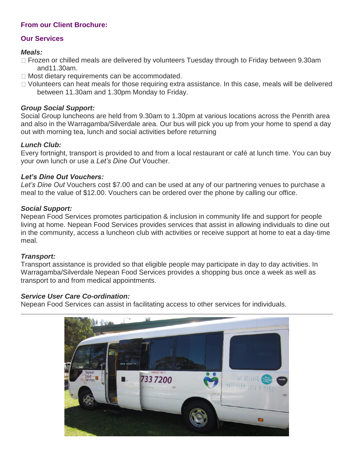#### **From our Client Brochure:**

#### **Our Services**

#### *Meals:*

- □ Frozen or chilled meals are delivered by volunteers Tuesday through to Friday between 9.30am and11.30am.
- □ Most dietary requirements can be accommodated.
- Volunteers can heat meals for those requiring extra assistance. In this case, meals will be delivered between 11.30am and 1.30pm Monday to Friday.

#### *Group Social Support:*

Social Group luncheons are held from 9.30am to 1.30pm at various locations across the Penrith area and also in the Warragamba/Silverdale area. Our bus will pick you up from your home to spend a day out with morning tea, lunch and social activities before returning

#### *Lunch Club:*

Every fortnight, transport is provided to and from a local restaurant or café at lunch time. You can buy your own lunch or use a *Let's Dine Out* Voucher.

#### *Let's Dine Out Vouchers:*

*Let's Dine Out* Vouchers cost \$7.00 and can be used at any of our partnering venues to purchase a meal to the value of \$12.00. Vouchers can be ordered over the phone by calling our office.

#### *Social Support:*

Nepean Food Services promotes participation & inclusion in community life and support for people living at home. Nepean Food Services provides services that assist in allowing individuals to dine out in the community, access a luncheon club with activities or receive support at home to eat a day-time meal.

#### *Transport:*

Transport assistance is provided so that eligible people may participate in day to day activities. In Warragamba/Silverdale Nepean Food Services provides a shopping bus once a week as well as transport to and from medical appointments.

#### *Service User Care Co-ordination:*

Nepean Food Services can assist in facilitating access to other services for individuals.

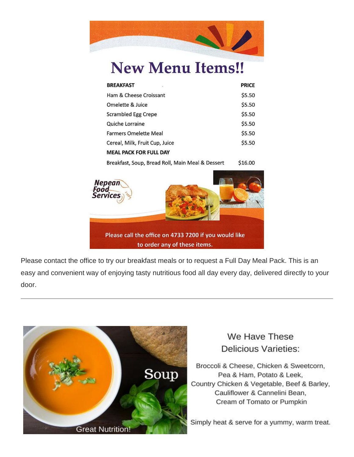

## **New Menu Items!!**

| <b>BREAKFAST</b>                                 | PRICE   |
|--------------------------------------------------|---------|
| Ham & Cheese Croissant                           | \$5.50  |
| Omelette & Juice                                 | \$5.50  |
| Scrambled Egg Crepe                              | \$5.50  |
| Quiche Lorraine                                  | \$5.50  |
| <b>Farmers Omelette Meal</b>                     | \$5.50  |
| Cereal, Milk, Fruit Cup, Juice                   | \$5.50  |
| <b>MEAL PACK FOR FULL DAY</b>                    |         |
| Breakfast, Soup, Bread Roll, Main Meal & Dessert | \$16.00 |



Please contact the office to try our breakfast meals or to request a Full Day Meal Pack. This is an easy and convenient way of enjoying tasty nutritious food all day every day, delivered directly to your door.



#### We Have These **Delicious Varieties:**

Broccoli & Cheese, Chicken & Sweetcorn, Pea & Ham, Potato & Leek, Country Chicken & Vegetable, Beef & Barley, Cauliflower & Cannelini Bean, Cream of Tomato or Pumpkin

Simply heat & serve for a yummy, warm treat.